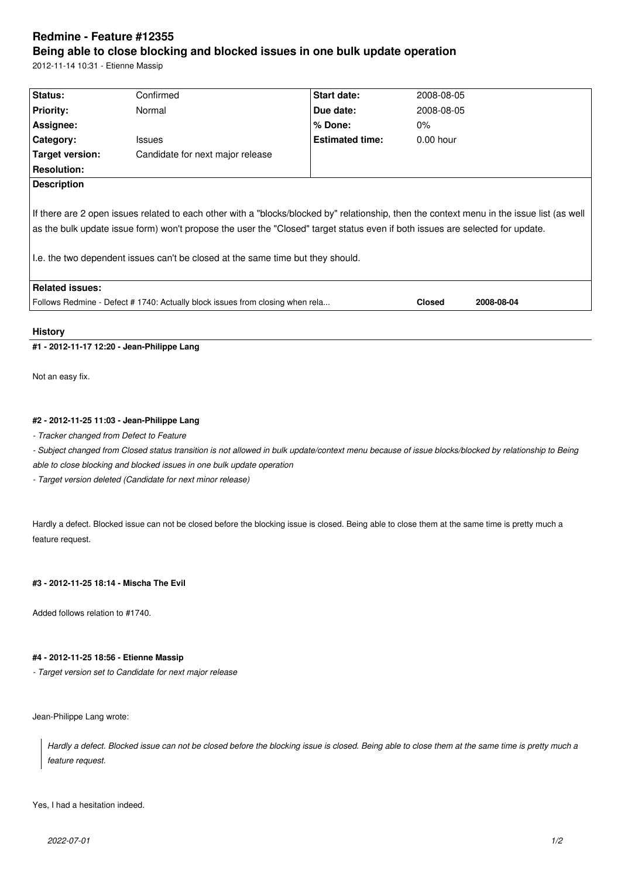# **Redmine - Feature #12355**

# **Being able to close blocking and blocked issues in one bulk update operation**

2012-11-14 10:31 - Etienne Massip

| Status:                                                                                                                                                                                                                                                                                                                                                        | Confirmed                        | Start date:            | 2008-08-05    |            |
|----------------------------------------------------------------------------------------------------------------------------------------------------------------------------------------------------------------------------------------------------------------------------------------------------------------------------------------------------------------|----------------------------------|------------------------|---------------|------------|
| <b>Priority:</b>                                                                                                                                                                                                                                                                                                                                               | Normal                           | Due date:              | 2008-08-05    |            |
| Assignee:                                                                                                                                                                                                                                                                                                                                                      |                                  | $%$ Done:              | $0\%$         |            |
| Category:                                                                                                                                                                                                                                                                                                                                                      | <b>Issues</b>                    | <b>Estimated time:</b> | $0.00$ hour   |            |
| Target version:                                                                                                                                                                                                                                                                                                                                                | Candidate for next major release |                        |               |            |
| <b>Resolution:</b>                                                                                                                                                                                                                                                                                                                                             |                                  |                        |               |            |
| <b>Description</b>                                                                                                                                                                                                                                                                                                                                             |                                  |                        |               |            |
| If there are 2 open issues related to each other with a "blocks/blocked by" relationship, then the context menu in the issue list (as well<br>as the bulk update issue form) won't propose the user the "Closed" target status even if both issues are selected for update.<br>I.e. the two dependent issues can't be closed at the same time but they should. |                                  |                        |               |            |
| <b>Related issues:</b>                                                                                                                                                                                                                                                                                                                                         |                                  |                        |               |            |
| Follows Redmine - Defect #1740: Actually block issues from closing when rela                                                                                                                                                                                                                                                                                   |                                  |                        | <b>Closed</b> | 2008-08-04 |
|                                                                                                                                                                                                                                                                                                                                                                |                                  |                        |               |            |

### **History**

# **#1 - 2012-11-17 12:20 - Jean-Philippe Lang**

Not an easy fix.

# **#2 - 2012-11-25 11:03 - Jean-Philippe Lang**

*- Tracker changed from Defect to Feature*

*- Subject changed from Closed status transition is not allowed in bulk update/context menu because of issue blocks/blocked by relationship to Being able to close blocking and blocked issues in one bulk update operation*

*- Target version deleted (Candidate for next minor release)*

Hardly a defect. Blocked issue can not be closed before the blocking issue is closed. Being able to close them at the same time is pretty much a feature request.

#### **#3 - 2012-11-25 18:14 - Mischa The Evil**

Added follows relation to #1740.

#### **#4 - 2012-11-25 18:56 - Etienne Massip**

*- Target version set to Candidate for next major release*

Jean-Philippe Lang wrote:

*Hardly a defect. Blocked issue can not be closed before the blocking issue is closed. Being able to close them at the same time is pretty much a feature request.*

Yes, I had a hesitation indeed.